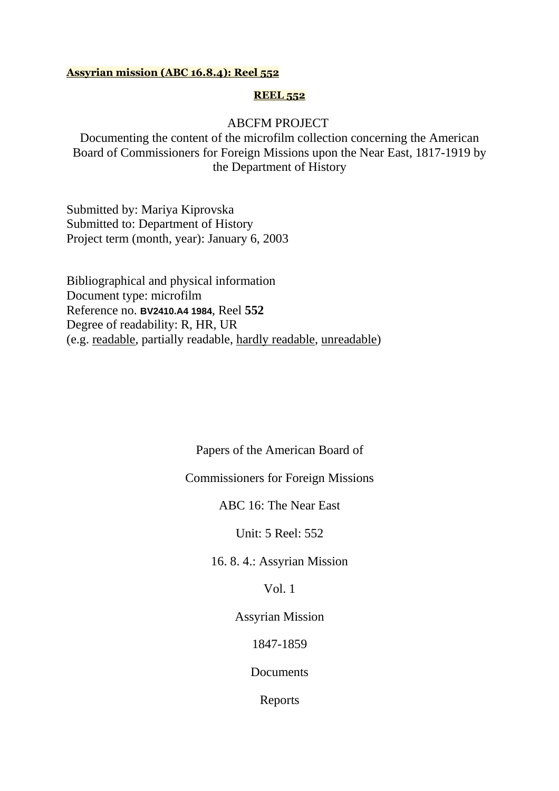#### **Assyrian mission (ABC 16.8.4): Reel 552**

#### **REEL 552**

## ABCFM PROJECT

Documenting the content of the microfilm collection concerning the American Board of Commissioners for Foreign Missions upon the Near East, 1817-1919 by the Department of History

Submitted by: Mariya Kiprovska Submitted to: Department of History Project term (month, year): January 6, 2003

Bibliographical and physical information Document type: microfilm Reference no. **BV2410.A4 1984**, Reel **552** Degree of readability: R, HR, UR (e.g. readable, partially readable, hardly readable, unreadable)

> Papers of the American Board of Commissioners for Foreign Missions ABC 16: The Near East Unit: 5 Reel: 552 16. 8. 4.: Assyrian Mission Vol. 1 Assyrian Mission 1847-1859 **Documents** Reports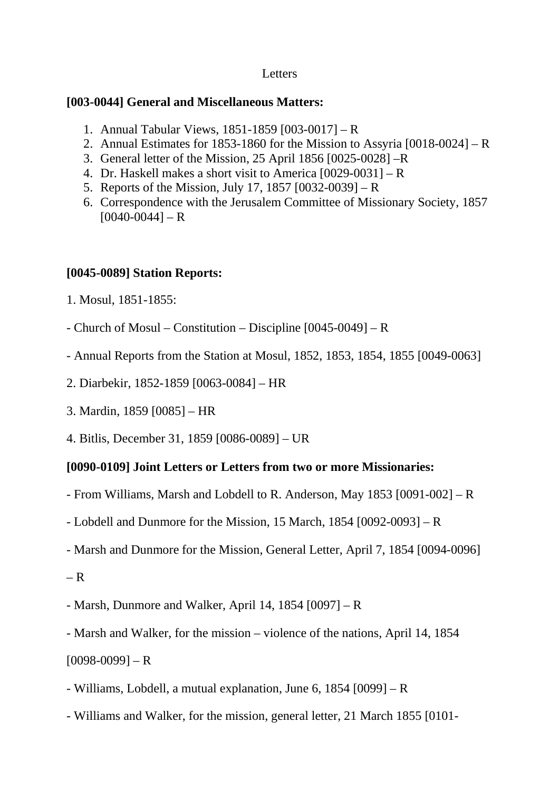# Letters

# **[003-0044] General and Miscellaneous Matters:**

- 1. Annual Tabular Views, 1851-1859 [003-0017] R
- 2. Annual Estimates for 1853-1860 for the Mission to Assyria [0018-0024] R
- 3. General letter of the Mission, 25 April 1856 [0025-0028] –R
- 4. Dr. Haskell makes a short visit to America [0029-0031] R
- 5. Reports of the Mission, July 17, 1857 [0032-0039] R
- 6. Correspondence with the Jerusalem Committee of Missionary Society, 1857  $[0040-0044] - R$

# **[0045-0089] Station Reports:**

- 1. Mosul, 1851-1855:
- Church of Mosul Constitution Discipline [0045-0049] R
- Annual Reports from the Station at Mosul, 1852, 1853, 1854, 1855 [0049-0063]
- 2. Diarbekir, 1852-1859 [0063-0084] HR
- 3. Mardin, 1859 [0085] HR
- 4. Bitlis, December 31, 1859 [0086-0089] UR

# **[0090-0109] Joint Letters or Letters from two or more Missionaries:**

- From Williams, Marsh and Lobdell to R. Anderson, May 1853 [0091-002] R
- Lobdell and Dunmore for the Mission, 15 March, 1854 [0092-0093] R
- Marsh and Dunmore for the Mission, General Letter, April 7, 1854 [0094-0096]
- $R$

- Marsh, Dunmore and Walker, April 14, 1854 [0097] – R

- Marsh and Walker, for the mission – violence of the nations, April 14, 1854  $[0098-0099] - R$ 

- Williams, Lobdell, a mutual explanation, June 6, 1854 [0099] R
- Williams and Walker, for the mission, general letter, 21 March 1855 [0101-